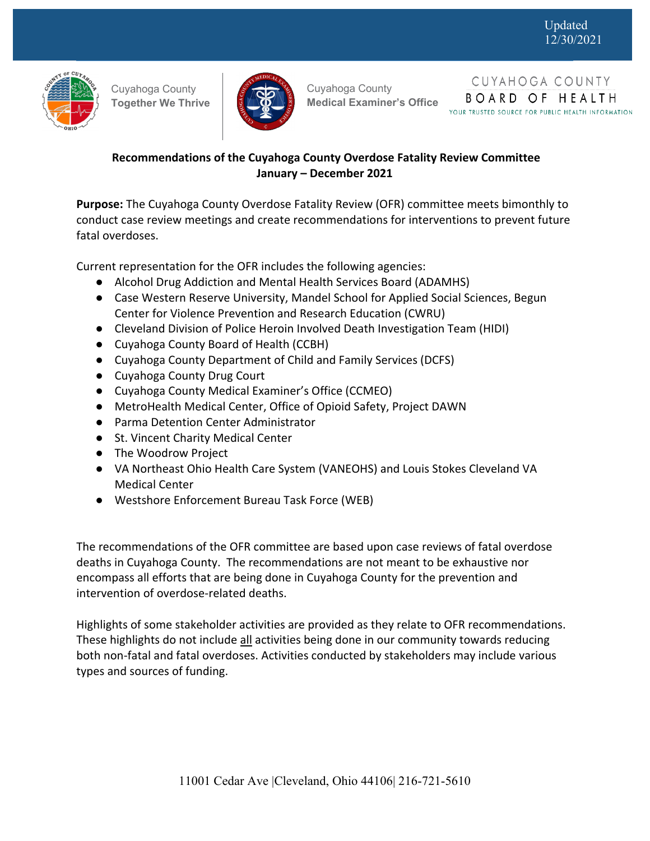

Cuyahoga County **Together We Thrive**



 Cuyahoga County **Medical Examiner's Office**

CUYAHOGA COUNTY BOARD OF HEALTH YOUR TRUSTED SOURCE FOR PUBLIC HEALTH INFORMATION

# **Recommendations of the Cuyahoga County Overdose Fatality Review Committee January – December 2021**

**Purpose:** The Cuyahoga County Overdose Fatality Review (OFR) committee meets bimonthly to conduct case review meetings and create recommendations for interventions to prevent future fatal overdoses.

Current representation for the OFR includes the following agencies:

- Alcohol Drug Addiction and Mental Health Services Board (ADAMHS)
- Case Western Reserve University, Mandel School for Applied Social Sciences, Begun Center for Violence Prevention and Research Education (CWRU)
- Cleveland Division of Police Heroin Involved Death Investigation Team (HIDI)
- Cuyahoga County Board of Health (CCBH)
- Cuyahoga County Department of Child and Family Services (DCFS)
- Cuyahoga County Drug Court
- Cuyahoga County Medical Examiner's Office (CCMEO)
- MetroHealth Medical Center, Office of Opioid Safety, Project DAWN
- Parma Detention Center Administrator
- St. Vincent Charity Medical Center
- The Woodrow Project
- VA Northeast Ohio Health Care System (VANEOHS) and Louis Stokes Cleveland VA Medical Center
- Westshore Enforcement Bureau Task Force (WEB)

The recommendations of the OFR committee are based upon case reviews of fatal overdose deaths in Cuyahoga County. The recommendations are not meant to be exhaustive nor encompass all efforts that are being done in Cuyahoga County for the prevention and intervention of overdose-related deaths.

Highlights of some stakeholder activities are provided as they relate to OFR recommendations. These highlights do not include all activities being done in our community towards reducing both non‐fatal and fatal overdoses. Activities conducted by stakeholders may include various types and sources of funding.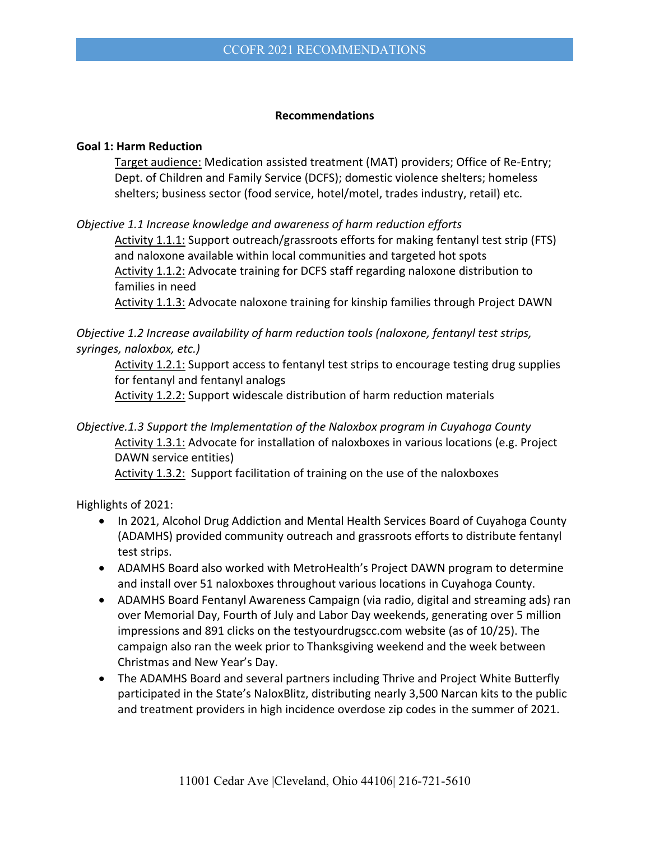#### **Recommendations**

#### **Goal 1: Harm Reduction**

Target audience: Medication assisted treatment (MAT) providers; Office of Re‐Entry; Dept. of Children and Family Service (DCFS); domestic violence shelters; homeless shelters; business sector (food service, hotel/motel, trades industry, retail) etc.

*Objective 1.1 Increase knowledge and awareness of harm reduction efforts* 

Activity 1.1.1: Support outreach/grassroots efforts for making fentanyl test strip (FTS) and naloxone available within local communities and targeted hot spots Activity 1.1.2: Advocate training for DCFS staff regarding naloxone distribution to families in need

Activity 1.1.3: Advocate naloxone training for kinship families through Project DAWN

*Objective 1.2 Increase availability of harm reduction tools (naloxone, fentanyl test strips, syringes, naloxbox, etc.)* 

Activity 1.2.1: Support access to fentanyl test strips to encourage testing drug supplies for fentanyl and fentanyl analogs

Activity 1.2.2: Support widescale distribution of harm reduction materials

## *Objective.1.3 Support the Implementation of the Naloxbox program in Cuyahoga County*  Activity 1.3.1: Advocate for installation of naloxboxes in various locations (e.g. Project DAWN service entities) Activity 1.3.2: Support facilitation of training on the use of the naloxboxes

Highlights of 2021:

- In 2021, Alcohol Drug Addiction and Mental Health Services Board of Cuyahoga County (ADAMHS) provided community outreach and grassroots efforts to distribute fentanyl test strips.
- ADAMHS Board also worked with MetroHealth's Project DAWN program to determine and install over 51 naloxboxes throughout various locations in Cuyahoga County.
- ADAMHS Board Fentanyl Awareness Campaign (via radio, digital and streaming ads) ran over Memorial Day, Fourth of July and Labor Day weekends, generating over 5 million impressions and 891 clicks on the testyourdrugscc.com website (as of 10/25). The campaign also ran the week prior to Thanksgiving weekend and the week between Christmas and New Year's Day.
- The ADAMHS Board and several partners including Thrive and Project White Butterfly participated in the State's NaloxBlitz, distributing nearly 3,500 Narcan kits to the public and treatment providers in high incidence overdose zip codes in the summer of 2021.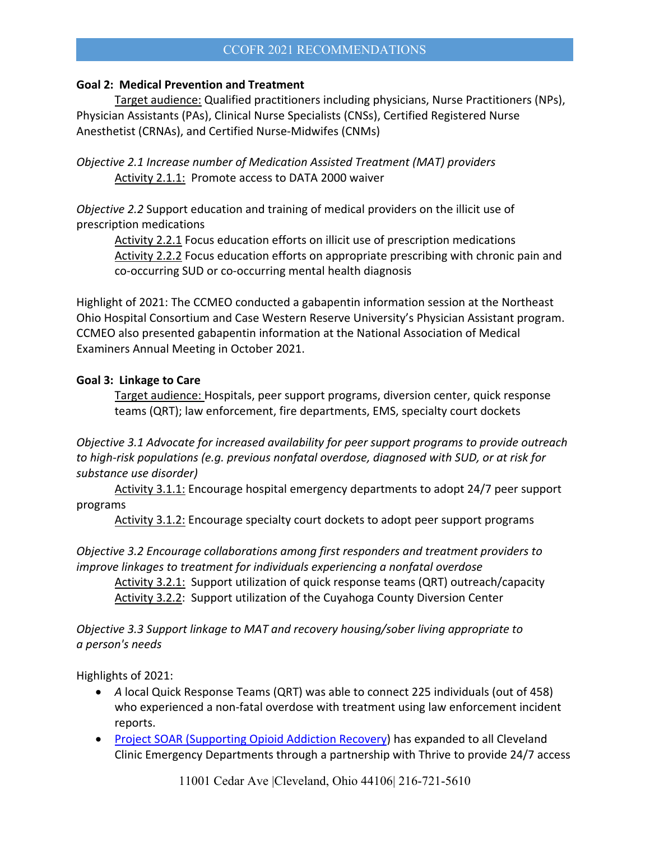### CCOFR 2021 RECOMMENDATIONS

### **Goal 2: Medical Prevention and Treatment**

Target audience: Qualified practitioners including physicians, Nurse Practitioners (NPs), Physician Assistants (PAs), Clinical Nurse Specialists (CNSs), Certified Registered Nurse Anesthetist (CRNAs), and Certified Nurse‐Midwifes (CNMs)

*Objective 2.1 Increase number of Medication Assisted Treatment (MAT) providers* Activity 2.1.1: Promote access to DATA 2000 waiver

*Objective 2.2* Support education and training of medical providers on the illicit use of prescription medications

Activity 2.2.1 Focus education efforts on illicit use of prescription medications Activity 2.2.2 Focus education efforts on appropriate prescribing with chronic pain and co‐occurring SUD or co‐occurring mental health diagnosis

Highlight of 2021: The CCMEO conducted a gabapentin information session at the Northeast Ohio Hospital Consortium and Case Western Reserve University's Physician Assistant program. CCMEO also presented gabapentin information at the National Association of Medical Examiners Annual Meeting in October 2021.

## **Goal 3: Linkage to Care**

Target audience: Hospitals, peer support programs, diversion center, quick response teams (QRT); law enforcement, fire departments, EMS, specialty court dockets

*Objective 3.1 Advocate for increased availability for peer support programs to provide outreach to high‐risk populations (e.g. previous nonfatal overdose, diagnosed with SUD, or at risk for substance use disorder)*

Activity 3.1.1: Encourage hospital emergency departments to adopt 24/7 peer support programs

Activity 3.1.2: Encourage specialty court dockets to adopt peer support programs

*Objective 3.2 Encourage collaborations among first responders and treatment providers to improve linkages to treatment for individuals experiencing a nonfatal overdose* 

Activity 3.2.1: Support utilization of quick response teams (QRT) outreach/capacity Activity 3.2.2: Support utilization of the Cuyahoga County Diversion Center

*Objective 3.3 Support linkage to MAT and recovery housing/sober living appropriate to a person's needs*

Highlights of 2021:

- *A* local Quick Response Teams (QRT) was able to connect 225 individuals (out of 458) who experienced a non-fatal overdose with treatment using law enforcement incident reports.
- Project SOAR (Supporting Opioid Addiction Recovery) has expanded to all Cleveland Clinic Emergency Departments through a partnership with Thrive to provide 24/7 access

11001 Cedar Ave |Cleveland, Ohio 44106| 216-721-5610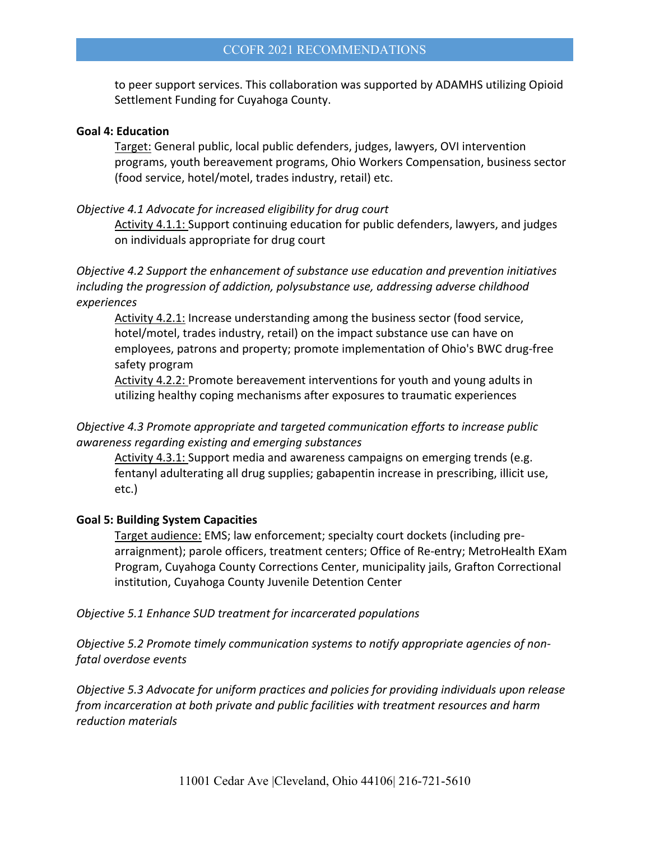to peer support services. This collaboration was supported by ADAMHS utilizing Opioid Settlement Funding for Cuyahoga County.

#### **Goal 4: Education**

Target: General public, local public defenders, judges, lawyers, OVI intervention programs, youth bereavement programs, Ohio Workers Compensation, business sector (food service, hotel/motel, trades industry, retail) etc.

#### *Objective 4.1 Advocate for increased eligibility for drug court*

Activity 4.1.1: Support continuing education for public defenders, lawyers, and judges on individuals appropriate for drug court

*Objective 4.2 Support the enhancement of substance use education and prevention initiatives including the progression of addiction, polysubstance use, addressing adverse childhood experiences*

Activity 4.2.1: Increase understanding among the business sector (food service, hotel/motel, trades industry, retail) on the impact substance use can have on employees, patrons and property; promote implementation of Ohio's BWC drug‐free safety program

Activity 4.2.2: Promote bereavement interventions for youth and young adults in utilizing healthy coping mechanisms after exposures to traumatic experiences

### *Objective 4.3 Promote appropriate and targeted communication efforts to increase public awareness regarding existing and emerging substances*

Activity 4.3.1: Support media and awareness campaigns on emerging trends (e.g. fentanyl adulterating all drug supplies; gabapentin increase in prescribing, illicit use, etc.)

#### **Goal 5: Building System Capacities**

Target audience: EMS; law enforcement; specialty court dockets (including pre‐ arraignment); parole officers, treatment centers; Office of Re‐entry; MetroHealth EXam Program, Cuyahoga County Corrections Center, municipality jails, Grafton Correctional institution, Cuyahoga County Juvenile Detention Center

*Objective 5.1 Enhance SUD treatment for incarcerated populations*

*Objective 5.2 Promote timely communication systems to notify appropriate agencies of non‐ fatal overdose events*

*Objective 5.3 Advocate for uniform practices and policies for providing individuals upon release from incarceration at both private and public facilities with treatment resources and harm reduction materials*